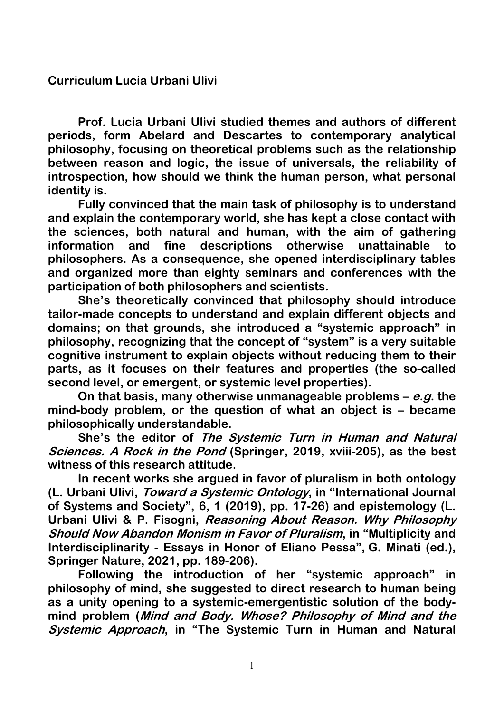**Curriculum Lucia Urbani Ulivi**

**Prof. Lucia Urbani Ulivi studied themes and authors of different periods, form Abelard and Descartes to contemporary analytical philosophy, focusing on theoretical problems such as the relationship between reason and logic, the issue of universals, the reliability of introspection, how should we think the human person, what personal identity is.**

**Fully convinced that the main task of philosophy is to understand and explain the contemporary world, she has kept a close contact with the sciences, both natural and human, with the aim of gathering information and fine descriptions otherwise unattainable to philosophers. As a consequence, she opened interdisciplinary tables and organized more than eighty seminars and conferences with the participation of both philosophers and scientists.**

**She's theoretically convinced that philosophy should introduce tailor-made concepts to understand and explain different objects and domains; on that grounds, she introduced a "systemic approach" in philosophy, recognizing that the concept of "system" is a very suitable cognitive instrument to explain objects without reducing them to their parts, as it focuses on their features and properties (the so-called second level, or emergent, or systemic level properties).**

**On that basis, many otherwise unmanageable problems – e.g. the mind-body problem, or the question of what an object is – became philosophically understandable.**

**She's the editor of The Systemic Turn in Human and Natural Sciences. A Rock in the Pond (Springer, 2019, xviii-205), as the best witness of this research attitude.**

**In recent works she argued in favor of pluralism in both ontology (L. Urbani Ulivi, Toward a Systemic Ontology, in "International Journal of Systems and Society", 6, 1 (2019), pp. 17-26) and epistemology (L. Urbani Ulivi & P. Fisogni, Reasoning About Reason. Why Philosophy Should Now Abandon Monism in Favor of Pluralism, in "Multiplicity and Interdisciplinarity - Essays in Honor of Eliano Pessa", G. Minati (ed.), Springer Nature, 2021, pp. 189-206).**

**Following the introduction of her "systemic approach" in philosophy of mind, she suggested to direct research to human being as a unity opening to a systemic-emergentistic solution of the bodymind problem (Mind and Body. Whose? Philosophy of Mind and the Systemic Approach, in "The Systemic Turn in Human and Natural**